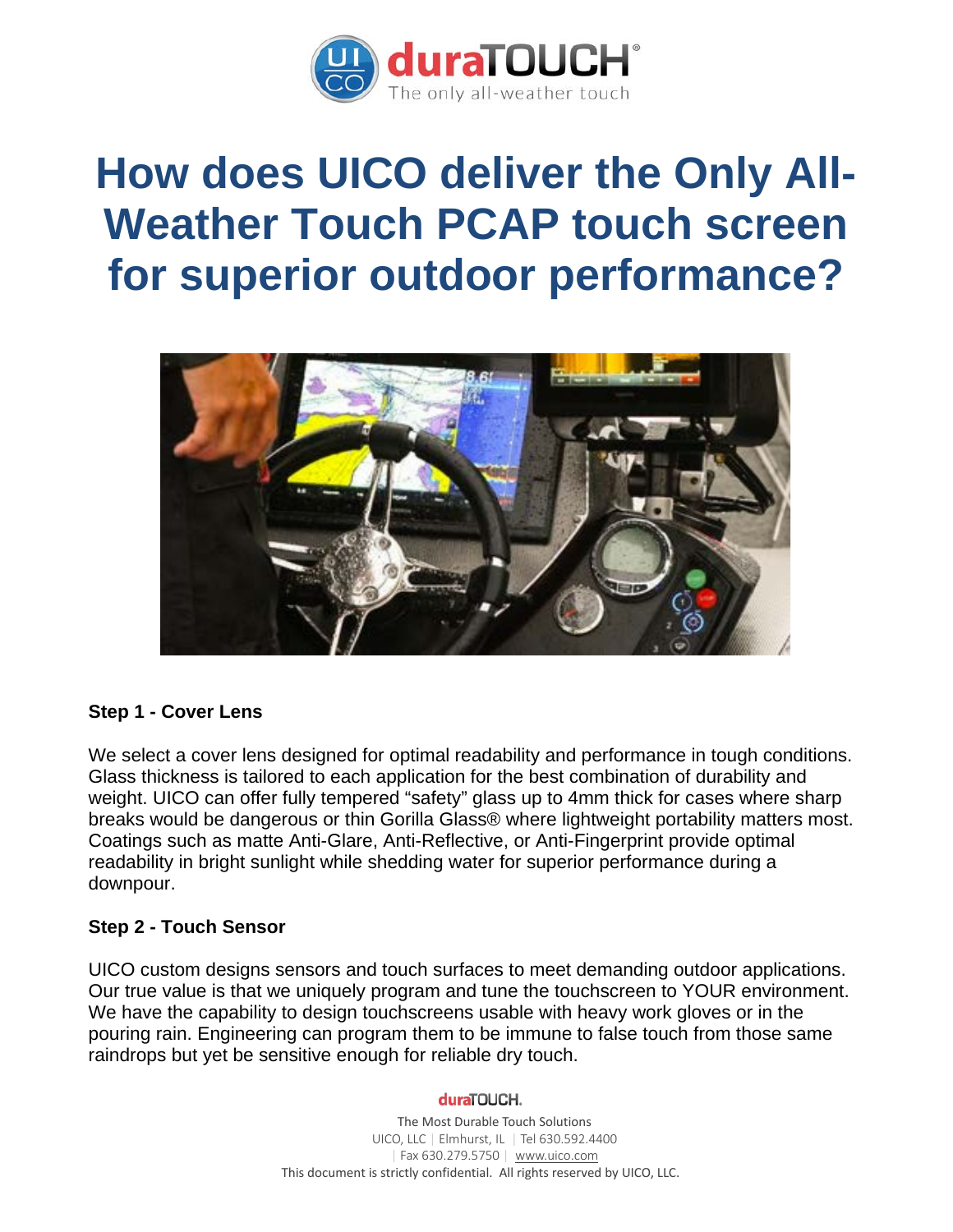

# **How does UICO deliver the Only All-Weather Touch PCAP touch screen for superior outdoor performance?**



## **Step 1 - Cover Lens**

We select a cover lens designed for optimal readability and performance in tough conditions. Glass thickness is tailored to each application for the best combination of durability and weight. UICO can offer fully tempered "safety" glass up to 4mm thick for cases where sharp breaks would be dangerous or thin Gorilla Glass® where lightweight portability matters most. Coatings such as matte Anti-Glare, Anti-Reflective, or Anti-Fingerprint provide optimal readability in bright sunlight while shedding water for superior performance during a downpour.

## **Step 2 - Touch Sensor**

UICO custom designs sensors and touch surfaces to meet demanding outdoor applications. Our true value is that we uniquely program and tune the touchscreen to YOUR environment. We have the capability to design touchscreens usable with heavy work gloves or in the pouring rain. Engineering can program them to be immune to false touch from those same raindrops but yet be sensitive enough for reliable dry touch.

#### duraTOUCH.

The Most Durable Touch Solutions UICO, LLC | Elmhurst, IL | Tel 630.592.4400 | Fax 630.279.5750 | [www.uico.com](http://www.uico.com/) This document is strictly confidential. All rights reserved by UICO, LLC.